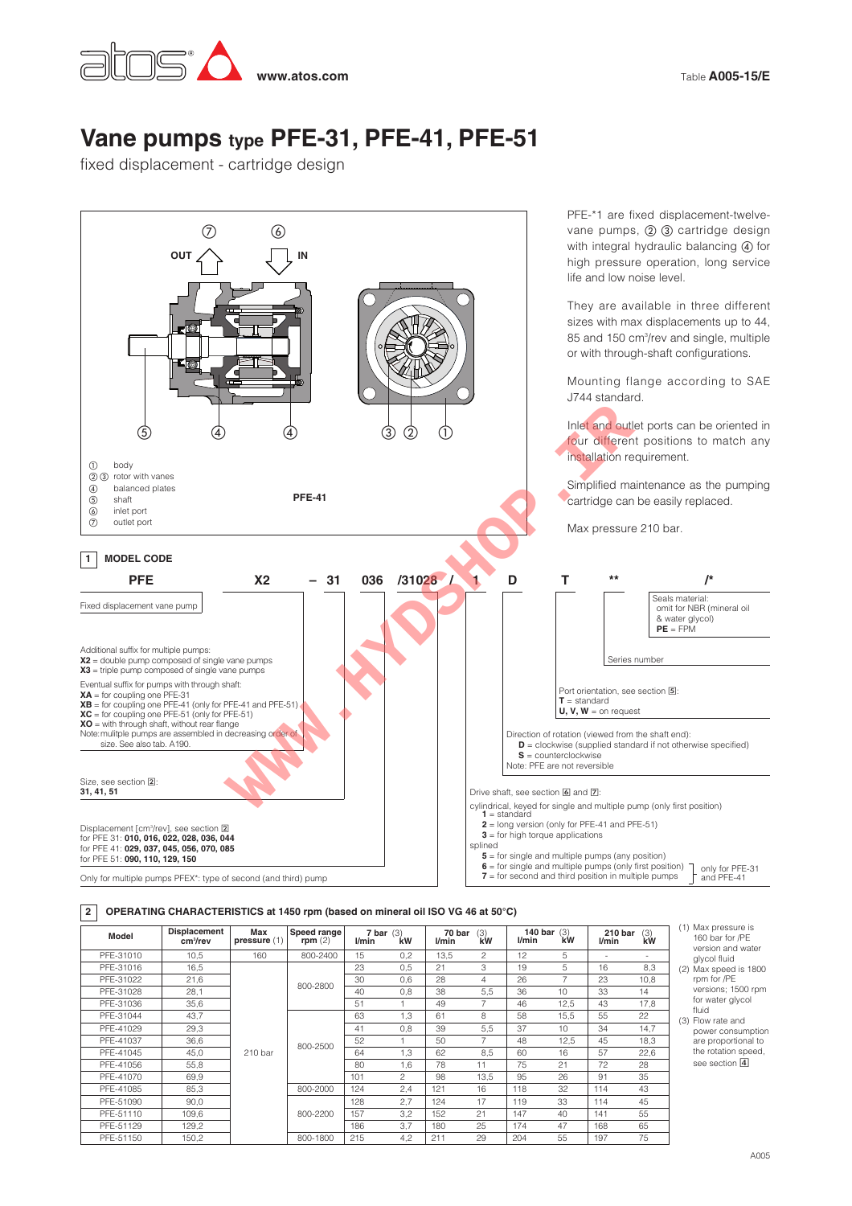

# **Vane pumps type PFE-31, PFE-41, PFE-51**

fixed displacement - cartridge design



### **OPERATING CHARACTERISTICS at 1450 rpm (based on mineral oil ISO VG 46 at 50°C) 2**

| Model     | Displacement<br>cm <sup>3</sup> /rev | Max<br>pressure(1) | Speed range<br>rpm $(2)$ | $7 \text{ bar } (3)$<br><i>Vmin</i> | kW            | 70 bar<br>l/min | (3)<br>kW      | <i>Vmin</i> | 140 bar $(3)$<br>kW | 210 bar<br>l/min | (3)<br>kW |
|-----------|--------------------------------------|--------------------|--------------------------|-------------------------------------|---------------|-----------------|----------------|-------------|---------------------|------------------|-----------|
| PFE-31010 | 10.5                                 | 160                | 800-2400                 | 15                                  | 0,2           | 13.5            | $\mathfrak{p}$ | 12          | 5                   | ٠                | ۰.        |
| PFE-31016 | 16,5                                 |                    |                          | 23                                  | 0,5           | 21              | 3              | 19          | 5                   | 16               | 8,3       |
| PFE-31022 | 21,6                                 |                    |                          | 30                                  | 0.6           | 28              | $\overline{4}$ | 26          |                     | 23               | 10.8      |
| PFE-31028 | 28,1                                 |                    | 800-2800                 | 40                                  | 0,8           | 38              | 5,5            | 36          | 10                  | 33               | 14        |
| PFE-31036 | 35,6                                 |                    |                          | 51                                  |               | 49              |                | 46          | 12,5                | 43               | 17,8      |
| PFE-31044 | 43.7                                 |                    |                          | 63                                  | 1.3           | 61              | 8              | 58          | 15,5                | 55               | 22        |
| PFE-41029 | 29.3                                 |                    |                          | 41                                  | 0.8           | 39              | 5.5            | 37          | 10                  | 34               | 14,7      |
| PFE-41037 | 36.6                                 |                    | 800-2500                 | 52                                  |               | 50              | 7              | 48          | 12.5                | 45               | 18.3      |
| PFE-41045 | 45.0                                 | 210 <sub>bar</sub> |                          | 64                                  | 1.3           | 62              | 8.5            | 60          | 16                  | 57               | 22,6      |
| PFE-41056 | 55,8                                 |                    |                          | 80                                  | 1.6           | 78              | 11             | 75          | 21                  | 72               | 28        |
| PFF-41070 | 69.9                                 |                    |                          | 101                                 | $\mathcal{P}$ | 98              | 13.5           | 95          | 26                  | 91               | 35        |
| PFE-41085 | 85,3                                 |                    | 800-2000                 | 124                                 | 2,4           | 121             | 16             | 118         | 32                  | 114              | 43        |
| PFE-51090 | 90,0                                 |                    |                          | 128                                 | 2.7           | 124             | 17             | 119         | 33                  | 114              | 45        |
| PFE-51110 | 109,6                                |                    | 800-2200                 | 157                                 | 3,2           | 152             | 21             | 147         | 40                  | 141              | 55        |
| PFE-51129 | 129,2                                |                    |                          | 186                                 | 3.7           | 180             | 25             | 174         | 47                  | 168              | 65        |
| PFE-51150 | 150,2                                |                    | 800-1800                 | 215                                 | 4,2           | 211             | 29             | 204         | 55                  | 197              | 75        |

- (1) Max pressure is 160 bar for /PE version and water
- glycol fluid ax speed is 1800 m for /PF versions; 1500 rpm water glycol id.
- w rate and power consumption are proportional to e rotation speed.  $\overline{\mathbf{a}}$  eection  $\overline{\mathbf{a}}$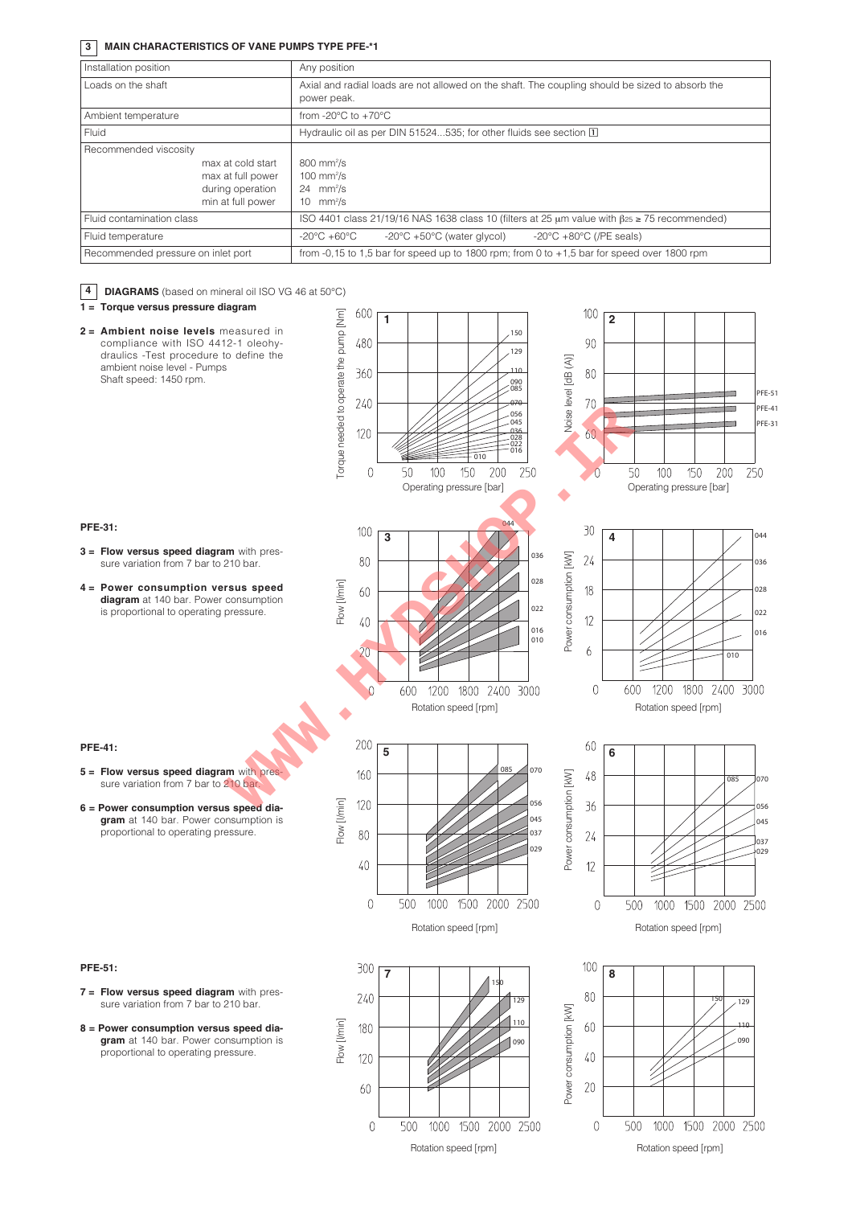## **3 MAIN CHARACTERISTICS OF VANE PUMPS TYPE PFE-\*1**

| Installation position                                                                                    | Any position                                                                                                                      |  |  |  |  |  |  |
|----------------------------------------------------------------------------------------------------------|-----------------------------------------------------------------------------------------------------------------------------------|--|--|--|--|--|--|
| Loads on the shaft                                                                                       | Axial and radial loads are not allowed on the shaft. The coupling should be sized to absorb the<br>power peak.                    |  |  |  |  |  |  |
| Ambient temperature                                                                                      | from -20 $\degree$ C to +70 $\degree$ C                                                                                           |  |  |  |  |  |  |
| Fluid                                                                                                    | Hydraulic oil as per DIN 51524535; for other fluids see section [1]                                                               |  |  |  |  |  |  |
| Recommended viscosity<br>max at cold start<br>max at full power<br>during operation<br>min at full power | $800$ mm <sup>2</sup> /s<br>100 mm $\frac{2}{s}$<br>$24$ mm <sup>2</sup> /s<br>10 $mm2/s$                                         |  |  |  |  |  |  |
| Fluid contamination class                                                                                | ISO 4401 class 21/19/16 NAS 1638 class 10 (filters at 25 $\mu$ m value with $\beta$ 25 $\ge$ 75 recommended)                      |  |  |  |  |  |  |
| Fluid temperature                                                                                        | $-20^{\circ}$ C $+50^{\circ}$ C (water glycol)<br>-20 $\degree$ C +80 $\degree$ C (/PE seals)<br>$-20^{\circ}$ C +60 $^{\circ}$ C |  |  |  |  |  |  |
| Recommended pressure on inlet port                                                                       | from $-0.15$ to 1.5 bar for speed up to 1800 rpm; from 0 to $+1.5$ bar for speed over 1800 rpm                                    |  |  |  |  |  |  |

| 4<br>DIAGRAMS (based on mineral oil ISO VG 46 at 50°C)                                                                                                                                                                  |                               |                                                                                                                                                                            |                        |                                                                                                                                                |
|-------------------------------------------------------------------------------------------------------------------------------------------------------------------------------------------------------------------------|-------------------------------|----------------------------------------------------------------------------------------------------------------------------------------------------------------------------|------------------------|------------------------------------------------------------------------------------------------------------------------------------------------|
| 1 = Torque versus pressure diagram                                                                                                                                                                                      | 600                           |                                                                                                                                                                            |                        | 100                                                                                                                                            |
| Torque needed to operate the pump [Nm]<br>2 = Ambient noise levels measured in<br>compliance with ISO 4412-1 oleohy-<br>draulics -Test procedure to define the<br>ambient noise level - Pumps<br>Shaft speed: 1450 rpm. | 480<br>360<br>240<br>120<br>0 | 1<br>.150<br>.129<br>110<br>$.090$<br>$.085$<br>070<br>056<br>.045<br>-036<br>- 028<br>- 022<br>- 016<br>010<br>100<br>150<br>200<br>250<br>50<br>Operating pressure [bar] | Noise level [dB (A)]   | $\overline{2}$<br>90<br>80<br><b>PFE-51</b><br>70<br>PFE-41<br>PFE-31<br>60<br>50<br>150<br>200<br>250<br>100<br>0<br>Operating pressure [bar] |
| <b>PFE-31:</b>                                                                                                                                                                                                          | 100                           | 044                                                                                                                                                                        |                        | 30<br>044                                                                                                                                      |
| $3$ = Flow versus speed diagram with pres-<br>sure variation from 7 bar to 210 bar.                                                                                                                                     | 80                            | 3<br>036                                                                                                                                                                   |                        | 4<br>24<br>036                                                                                                                                 |
| Flow [I/min]<br>4 = Power consumption versus speed<br>diagram at 140 bar. Power consumption<br>is proportional to operating pressure.                                                                                   | 60<br>40                      | 028<br>022<br>016<br>010<br>1800 2400 3000<br>1200<br>600<br>Rotation speed [rpm]                                                                                          | Power consumption [kW] | 18<br>028<br>022<br>12<br>016<br>6<br>010<br>1200 1800 2400 3000<br>0<br>600<br>Rotation speed [rpm]                                           |
|                                                                                                                                                                                                                         |                               |                                                                                                                                                                            |                        |                                                                                                                                                |
|                                                                                                                                                                                                                         |                               |                                                                                                                                                                            |                        |                                                                                                                                                |
| <b>PFE-41:</b>                                                                                                                                                                                                          | 200                           | 5                                                                                                                                                                          |                        | 60<br>6                                                                                                                                        |
| 5 = Flow versus speed diagram with pres-<br>sure variation from 7 bar to 210 bar.                                                                                                                                       | 160                           | 070<br>085                                                                                                                                                                 |                        | $48\,$<br>085<br>070                                                                                                                           |
| Flow [l/min]<br>6 = Power consumption versus speed dia-<br>gram at 140 bar. Power consumption is<br>proportional to operating pressure.                                                                                 | 120<br>80<br>40<br>0          | 056<br>045<br>037<br>029<br>1500<br>2000 2500<br>500<br>1000<br>Rotation speed [rpm]                                                                                       | Power consumption [kW] | 36<br>056<br>045<br>24<br>037<br>029<br>12<br>500<br>1000<br>2000 2500<br>0<br>1500<br>Rotation speed [rpm]                                    |
| <b>PFE-51:</b>                                                                                                                                                                                                          | 300                           |                                                                                                                                                                            |                        | 100                                                                                                                                            |
| 7 = Flow versus speed diagram with pres-<br>sure variation from 7 bar to 210 bar.                                                                                                                                       | 240                           | $\overline{7}$<br>150<br>129                                                                                                                                               |                        | 8<br>80<br>150<br>129                                                                                                                          |
| 8 = Power consumption versus speed dia-<br>gram at 140 bar. Power consumption is<br>proportional to operating pressure.                                                                                                 | 180                           | 110<br>090                                                                                                                                                                 |                        | 60<br>$+10-$<br>090                                                                                                                            |
| Flow [l/min]                                                                                                                                                                                                            | 120<br>60                     | 1500 2000 2500<br>500<br>1000                                                                                                                                              | Power consumption [kW] | 40<br>20<br>1500 2000 2500<br>500<br>1000                                                                                                      |

## Rotation speed [rpm]

Rotation speed [rpm]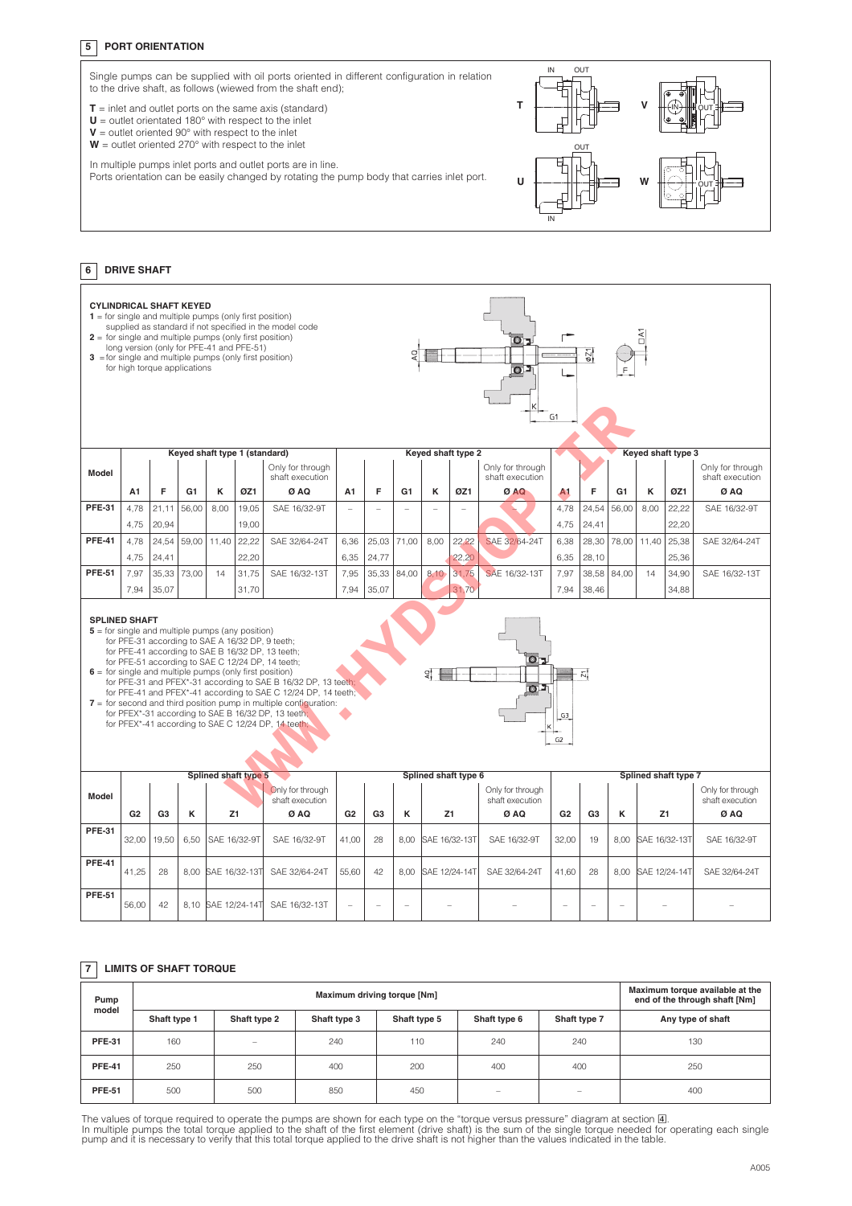## **5 PORT ORIENTATION**



#### **6 DRIVE SHAFT**

| <b>CYLINDRICAL SHAFT KEYED</b><br>$1 =$ for single and multiple pumps (only first position)<br>supplied as standard if not specified in the model code<br>$2 =$ for single and multiple pumps (only first position)<br>O <sub>2</sub><br>long version (only for PFE-41 and PFE-51)<br>021<br>3 = for single and multiple pumps (only first position)<br>for high torque applications<br>O <sub>J</sub><br>G1                                                                                                                                                                                                                                                                   |                |                |                |                               |       |                                     |                |                |                |                      |       |                                     |                |                |                |                      |       |                                     |
|--------------------------------------------------------------------------------------------------------------------------------------------------------------------------------------------------------------------------------------------------------------------------------------------------------------------------------------------------------------------------------------------------------------------------------------------------------------------------------------------------------------------------------------------------------------------------------------------------------------------------------------------------------------------------------|----------------|----------------|----------------|-------------------------------|-------|-------------------------------------|----------------|----------------|----------------|----------------------|-------|-------------------------------------|----------------|----------------|----------------|----------------------|-------|-------------------------------------|
|                                                                                                                                                                                                                                                                                                                                                                                                                                                                                                                                                                                                                                                                                |                |                |                | Keyed shaft type 1 (standard) |       |                                     |                |                |                | Keyed shaft type 2   |       |                                     |                |                |                | Keyed shaft type 3   |       |                                     |
| Model                                                                                                                                                                                                                                                                                                                                                                                                                                                                                                                                                                                                                                                                          |                |                |                |                               |       | Only for through<br>shaft execution |                |                |                |                      |       | Only for through<br>shaft execution |                |                |                |                      |       | Only for through<br>shaft execution |
|                                                                                                                                                                                                                                                                                                                                                                                                                                                                                                                                                                                                                                                                                | A1             | F              | G <sub>1</sub> | κ                             | ØZ1   | Ø AQ                                | A <sub>1</sub> | F              | G <sub>1</sub> | к                    | ØZ1   | Ø AQ                                | A <sub>1</sub> | F              | G <sub>1</sub> | κ                    | ØZ1   | Ø AQ                                |
| <b>PFE-31</b>                                                                                                                                                                                                                                                                                                                                                                                                                                                                                                                                                                                                                                                                  | 4.78           | 21.11          | 56.00          | 8.00                          | 19.05 | SAE 16/32-9T                        | ÷,             | L.             |                | ÷,                   | L.    |                                     | 4.78           | 24,54          | 56.00          | 8.00                 | 22.22 | SAE 16/32-9T                        |
|                                                                                                                                                                                                                                                                                                                                                                                                                                                                                                                                                                                                                                                                                | 4,75           | 20,94          |                |                               | 19,00 |                                     |                |                |                |                      |       |                                     | 4,75           | 24,41          |                |                      | 22,20 |                                     |
| <b>PFE-41</b>                                                                                                                                                                                                                                                                                                                                                                                                                                                                                                                                                                                                                                                                  | 4,78           | 24,54          | 59,00          | 11,40                         | 22,22 | SAE 32/64-24T                       | 6,36           | 25,03          | 71,00          | 8,00                 | 22,22 | SAE 32/64-24T                       | 6,38           | 28,30          | 78.00          | 11,40                | 25,38 | SAE 32/64-24T                       |
|                                                                                                                                                                                                                                                                                                                                                                                                                                                                                                                                                                                                                                                                                | 4,75           | 24,41          |                |                               | 22,20 |                                     | 6,35           | 24,77          |                |                      | 22,20 |                                     | 6,35           | 28,10          |                |                      | 25,36 |                                     |
| <b>PFE-51</b>                                                                                                                                                                                                                                                                                                                                                                                                                                                                                                                                                                                                                                                                  | 7,97           | 35,33          | 73,00          | 14                            | 31,75 | SAE 16/32-13T                       | 7,95           | 35,33          | 84,00          | 8.10                 | 31,75 | SAE 16/32-13T                       | 7,97           | 38,58          | 84,00          | 14                   | 34,90 | SAE 16/32-13T                       |
|                                                                                                                                                                                                                                                                                                                                                                                                                                                                                                                                                                                                                                                                                | 7.94           | 35.07          |                |                               | 31.70 |                                     | 7.94           | 35,07          |                |                      | 31.70 |                                     | 7,94           | 38,46          |                |                      | 34.88 |                                     |
| <b>SPLINED SHAFT</b><br>$5 =$ for single and multiple pumps (any position)<br>for PFE-31 according to SAE A 16/32 DP, 9 teeth;<br>for PFE-41 according to SAE B 16/32 DP, 13 teeth;<br>O J<br>for PFE-51 according to SAE C 12/24 DP, 14 teeth;<br>$6 =$ for single and multiple pumps (only first position)<br>익<br>for PFE-31 and PFEX*-31 according to SAE B 16/32 DP, 13 teeth;<br>$\Omega$<br>for PFE-41 and PFEX*-41 according to SAE C 12/24 DP, 14 teeth;<br>$7 =$ for second and third position pump in multiple configuration:<br>for PFEX*-31 according to SAE B 16/32 DP, 13 teeth;<br>G3<br>for PFEX*-41 according to SAE C 12/24 DP, 14 teeth;<br>G <sub>2</sub> |                |                |                |                               |       |                                     |                |                |                |                      |       |                                     |                |                |                |                      |       |                                     |
|                                                                                                                                                                                                                                                                                                                                                                                                                                                                                                                                                                                                                                                                                |                |                |                | <b>Splined shaft type 5</b>   |       |                                     |                |                |                | Splined shaft type 6 |       |                                     |                |                |                | Splined shaft type 7 |       |                                     |
| Model                                                                                                                                                                                                                                                                                                                                                                                                                                                                                                                                                                                                                                                                          |                |                |                |                               |       | Only for through<br>shaft execution |                |                |                |                      |       | Only for through<br>shaft execution |                |                |                |                      |       | Only for through<br>shaft execution |
|                                                                                                                                                                                                                                                                                                                                                                                                                                                                                                                                                                                                                                                                                | G <sub>2</sub> | G <sub>3</sub> | к              | Z1                            |       | Ø AQ                                | G <sub>2</sub> | G <sub>3</sub> | κ              | Z1                   |       | Ø AQ                                | G2             | G <sub>3</sub> | к              | Z1                   |       | Ø AQ                                |
| <b>PFE-31</b>                                                                                                                                                                                                                                                                                                                                                                                                                                                                                                                                                                                                                                                                  | 32,00          | 19,50          | 6,50           | SAE 16/32-9T                  |       | SAE 16/32-9T                        | 41,00          | 28             | 8,00           | SAE 16/32-13T        |       | SAE 16/32-9T                        | 32,00          | 19             | 8,00           | SAE 16/32-13T        |       | SAE 16/32-9T                        |
| <b>PFE-41</b>                                                                                                                                                                                                                                                                                                                                                                                                                                                                                                                                                                                                                                                                  | 41,25          | 28             | 8,00           | SAE 16/32-13T                 |       | SAE 32/64-24T                       | 55,60          | 42             | 8,00           | SAE 12/24-14T        |       | SAE 32/64-24T                       | 41,60          | 28             | 8.00           | SAE 12/24-14T        |       | SAE 32/64-24T                       |
| <b>PFE-51</b>                                                                                                                                                                                                                                                                                                                                                                                                                                                                                                                                                                                                                                                                  | 56,00          | 42             |                |                               |       | 8,10 SAE 12/24-14T SAE 16/32-13T    |                |                |                |                      |       |                                     |                |                |                |                      |       |                                     |

#### **7 LIMITS OF SHAFT TORQUE**

| Pump<br>model |              | Maximum torque available at the<br>end of the through shaft [Nm] |              |              |                                                                           |                                                                           |                   |
|---------------|--------------|------------------------------------------------------------------|--------------|--------------|---------------------------------------------------------------------------|---------------------------------------------------------------------------|-------------------|
|               | Shaft type 1 | Shaft type 2                                                     | Shaft type 3 | Shaft type 5 | Shaft type 6                                                              | Shaft type 7                                                              | Any type of shaft |
| <b>PFE-31</b> | 160          | -                                                                | 240          | 110          | 240                                                                       | 240                                                                       | 130               |
| <b>PFE-41</b> | 250          | 250                                                              | 400          | 200          | 400                                                                       | 400                                                                       | 250               |
| <b>PFE-51</b> | 500          | 500                                                              | 850          | 450          | $\hspace{1.0cm} \rule{1.5cm}{0.15cm} \hspace{1.0cm} \rule{1.5cm}{0.15cm}$ | $\hspace{1.0cm} \rule{1.5cm}{0.15cm} \hspace{1.0cm} \rule{1.5cm}{0.15cm}$ | 400               |

The values of torque required to operate the pumps are shown for each type on the "torque versus pressure" diagram at section **[4**].<br>In multiple pumps the total torque applied to the shaft of the first element (drive shaft